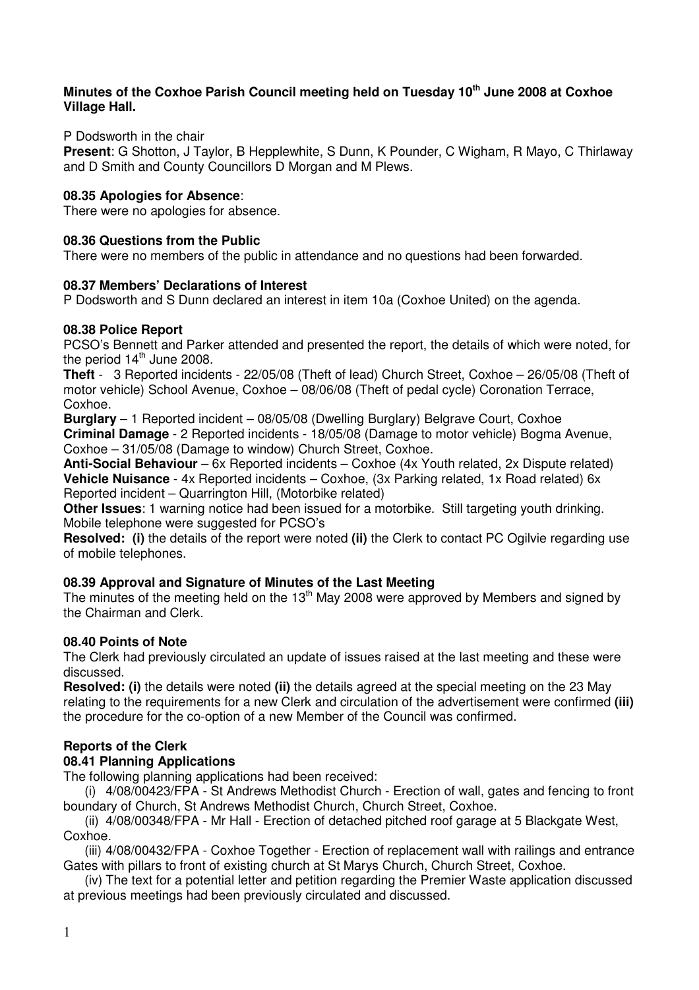### **Minutes of the Coxhoe Parish Council meeting held on Tuesday 10th June 2008 at Coxhoe Village Hall.**

P Dodsworth in the chair

**Present**: G Shotton, J Taylor, B Hepplewhite, S Dunn, K Pounder, C Wigham, R Mayo, C Thirlaway and D Smith and County Councillors D Morgan and M Plews.

# **08.35 Apologies for Absence**:

There were no apologies for absence.

### **08.36 Questions from the Public**

There were no members of the public in attendance and no questions had been forwarded.

### **08.37 Members' Declarations of Interest**

P Dodsworth and S Dunn declared an interest in item 10a (Coxhoe United) on the agenda.

### **08.38 Police Report**

PCSO's Bennett and Parker attended and presented the report, the details of which were noted, for the period  $14<sup>th</sup>$  June 2008.

**Theft** - 3 Reported incidents - 22/05/08 (Theft of lead) Church Street, Coxhoe – 26/05/08 (Theft of motor vehicle) School Avenue, Coxhoe – 08/06/08 (Theft of pedal cycle) Coronation Terrace, Coxhoe.

**Burglary** – 1 Reported incident – 08/05/08 (Dwelling Burglary) Belgrave Court, Coxhoe **Criminal Damage** - 2 Reported incidents - 18/05/08 (Damage to motor vehicle) Bogma Avenue, Coxhoe – 31/05/08 (Damage to window) Church Street, Coxhoe.

**Anti-Social Behaviour** – 6x Reported incidents – Coxhoe (4x Youth related, 2x Dispute related) **Vehicle Nuisance** - 4x Reported incidents – Coxhoe, (3x Parking related, 1x Road related) 6x Reported incident – Quarrington Hill, (Motorbike related)

**Other Issues**: 1 warning notice had been issued for a motorbike. Still targeting youth drinking. Mobile telephone were suggested for PCSO's

**Resolved: (i)** the details of the report were noted **(ii)** the Clerk to contact PC Ogilvie regarding use of mobile telephones.

### **08.39 Approval and Signature of Minutes of the Last Meeting**

The minutes of the meeting held on the 13<sup>th</sup> May 2008 were approved by Members and signed by the Chairman and Clerk.

### **08.40 Points of Note**

The Clerk had previously circulated an update of issues raised at the last meeting and these were discussed.

**Resolved: (i)** the details were noted **(ii)** the details agreed at the special meeting on the 23 May relating to the requirements for a new Clerk and circulation of the advertisement were confirmed **(iii)** the procedure for the co-option of a new Member of the Council was confirmed.

# **Reports of the Clerk**

### **08.41 Planning Applications**

The following planning applications had been received:

(i) 4/08/00423/FPA - St Andrews Methodist Church - Erection of wall, gates and fencing to front boundary of Church, St Andrews Methodist Church, Church Street, Coxhoe.

(ii) 4/08/00348/FPA - Mr Hall - Erection of detached pitched roof garage at 5 Blackgate West, Coxhoe.

(iii) 4/08/00432/FPA - Coxhoe Together - Erection of replacement wall with railings and entrance Gates with pillars to front of existing church at St Marys Church, Church Street, Coxhoe.

(iv) The text for a potential letter and petition regarding the Premier Waste application discussed at previous meetings had been previously circulated and discussed.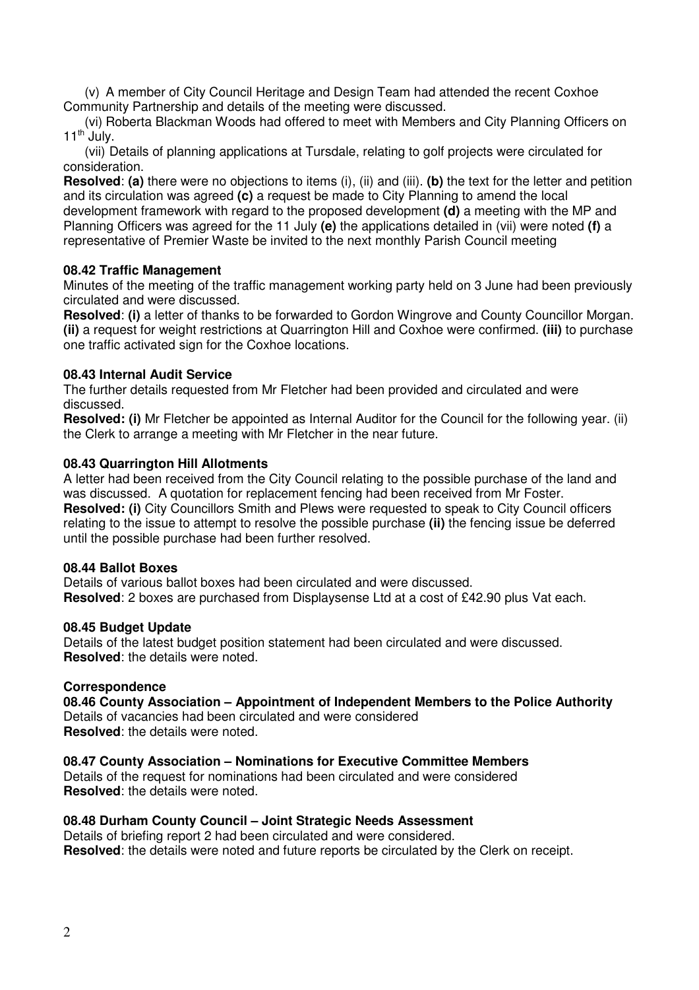(v) A member of City Council Heritage and Design Team had attended the recent Coxhoe Community Partnership and details of the meeting were discussed.

(vi) Roberta Blackman Woods had offered to meet with Members and City Planning Officers on  $11^{th}$  July.

(vii) Details of planning applications at Tursdale, relating to golf projects were circulated for consideration.

**Resolved**: **(a)** there were no objections to items (i), (ii) and (iii). **(b)** the text for the letter and petition and its circulation was agreed **(c)** a request be made to City Planning to amend the local development framework with regard to the proposed development **(d)** a meeting with the MP and Planning Officers was agreed for the 11 July **(e)** the applications detailed in (vii) were noted **(f)** a representative of Premier Waste be invited to the next monthly Parish Council meeting

# **08.42 Traffic Management**

Minutes of the meeting of the traffic management working party held on 3 June had been previously circulated and were discussed.

**Resolved**: **(i)** a letter of thanks to be forwarded to Gordon Wingrove and County Councillor Morgan. **(ii)** a request for weight restrictions at Quarrington Hill and Coxhoe were confirmed. **(iii)** to purchase one traffic activated sign for the Coxhoe locations.

# **08.43 Internal Audit Service**

The further details requested from Mr Fletcher had been provided and circulated and were discussed.

**Resolved: (i)** Mr Fletcher be appointed as Internal Auditor for the Council for the following year. (ii) the Clerk to arrange a meeting with Mr Fletcher in the near future.

# **08.43 Quarrington Hill Allotments**

A letter had been received from the City Council relating to the possible purchase of the land and was discussed. A quotation for replacement fencing had been received from Mr Foster. **Resolved: (i)** City Councillors Smith and Plews were requested to speak to City Council officers relating to the issue to attempt to resolve the possible purchase **(ii)** the fencing issue be deferred until the possible purchase had been further resolved.

### **08.44 Ballot Boxes**

Details of various ballot boxes had been circulated and were discussed. **Resolved**: 2 boxes are purchased from Displaysense Ltd at a cost of £42.90 plus Vat each.

### **08.45 Budget Update**

Details of the latest budget position statement had been circulated and were discussed. **Resolved**: the details were noted.

### **Correspondence**

**08.46 County Association – Appointment of Independent Members to the Police Authority**  Details of vacancies had been circulated and were considered **Resolved**: the details were noted.

### **08.47 County Association – Nominations for Executive Committee Members**

Details of the request for nominations had been circulated and were considered **Resolved**: the details were noted.

### **08.48 Durham County Council – Joint Strategic Needs Assessment**

Details of briefing report 2 had been circulated and were considered. **Resolved**: the details were noted and future reports be circulated by the Clerk on receipt.